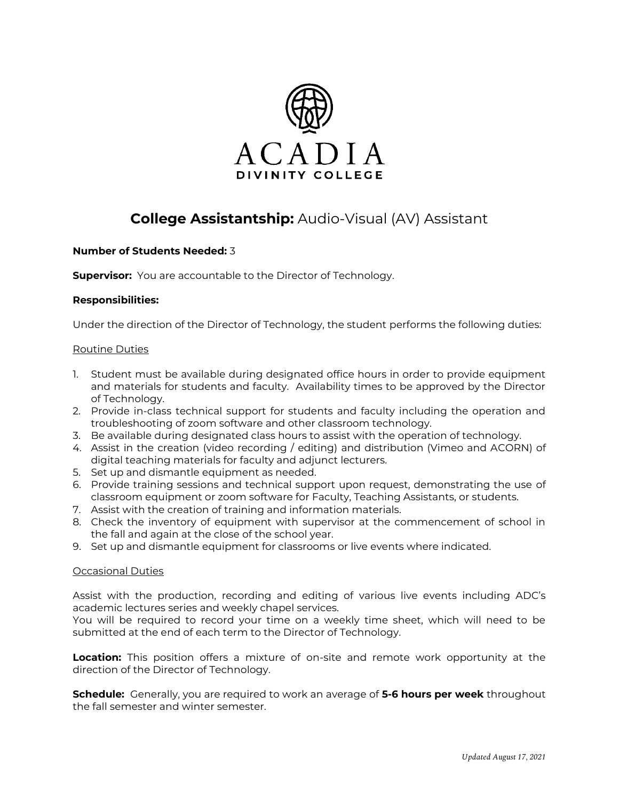

# **College Assistantship:** Audio-Visual (AV) Assistant

## **Number of Students Needed:** 3

**Supervisor:** You are accountable to the Director of Technology.

### **Responsibilities:**

Under the direction of the Director of Technology, the student performs the following duties:

#### Routine Duties

- 1. Student must be available during designated office hours in order to provide equipment and materials for students and faculty. Availability times to be approved by the Director of Technology.
- 2. Provide in-class technical support for students and faculty including the operation and troubleshooting of zoom software and other classroom technology.
- 3. Be available during designated class hours to assist with the operation of technology.
- 4. Assist in the creation (video recording / editing) and distribution (Vimeo and ACORN) of digital teaching materials for faculty and adjunct lecturers.
- 5. Set up and dismantle equipment as needed.
- 6. Provide training sessions and technical support upon request, demonstrating the use of classroom equipment or zoom software for Faculty, Teaching Assistants, or students.
- 7. Assist with the creation of training and information materials.
- 8. Check the inventory of equipment with supervisor at the commencement of school in the fall and again at the close of the school year.
- 9. Set up and dismantle equipment for classrooms or live events where indicated.

#### Occasional Duties

Assist with the production, recording and editing of various live events including ADC's academic lectures series and weekly chapel services.

You will be required to record your time on a weekly time sheet, which will need to be submitted at the end of each term to the Director of Technology.

**Location:** This position offers a mixture of on-site and remote work opportunity at the direction of the Director of Technology.

**Schedule:** Generally, you are required to work an average of **5-6 hours per week** throughout the fall semester and winter semester.